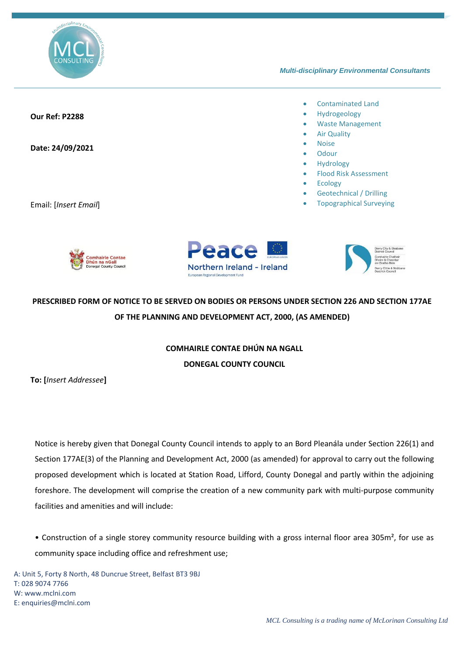

#### *Multi-disciplinary Environmental Consultants*

### **Our Ref: P2288**

#### **Date: 24/09/2021**

Email: [*Insert Email*]

#### • Contaminated Land

- Hydrogeology
- Waste Management
- **Air Quality**
- Noise
- **Odour**
- Hydrology
- Flood Risk Assessment
- **Ecology**
- Geotechnical / Drilling
- Topographical Surveying







# **PRESCRIBED FORM OF NOTICE TO BE SERVED ON BODIES OR PERSONS UNDER SECTION 226 AND SECTION 177AE OF THE PLANNING AND DEVELOPMENT ACT, 2000, (AS AMENDED)**

## **COMHAIRLE CONTAE DHÚN NA NGALL DONEGAL COUNTY COUNCIL**

**To: [***Insert Addressee***]**

Notice is hereby given that Donegal County Council intends to apply to an Bord Pleanála under Section 226(1) and Section 177AE(3) of the Planning and Development Act, 2000 (as amended) for approval to carry out the following proposed development which is located at Station Road, Lifford, County Donegal and partly within the adjoining foreshore. The development will comprise the creation of a new community park with multi-purpose community facilities and amenities and will include:

• Construction of a single storey community resource building with a gross internal floor area 305m², for use as community space including office and refreshment use;

A: Unit 5, Forty 8 North, 48 Duncrue Street, Belfast BT3 9BJ T: 028 9074 7766 W: www.mclni.com E[: enquiries@mclni.com](mailto:enquiries@mclni.com)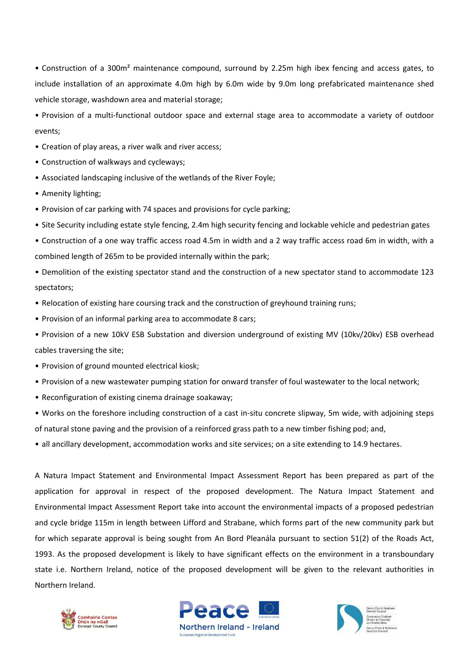• Construction of a 300m² maintenance compound, surround by 2.25m high ibex fencing and access gates, to include installation of an approximate 4.0m high by 6.0m wide by 9.0m long prefabricated maintenance shed vehicle storage, washdown area and material storage;

• Provision of a multi-functional outdoor space and external stage area to accommodate a variety of outdoor events;

- Creation of play areas, a river walk and river access;
- Construction of walkways and cycleways;
- Associated landscaping inclusive of the wetlands of the River Foyle;
- Amenity lighting;
- Provision of car parking with 74 spaces and provisions for cycle parking;
- Site Security including estate style fencing, 2.4m high security fencing and lockable vehicle and pedestrian gates
- Construction of a one way traffic access road 4.5m in width and a 2 way traffic access road 6m in width, with a combined length of 265m to be provided internally within the park;
- Demolition of the existing spectator stand and the construction of a new spectator stand to accommodate 123 spectators;
- Relocation of existing hare coursing track and the construction of greyhound training runs;
- Provision of an informal parking area to accommodate 8 cars;
- Provision of a new 10kV ESB Substation and diversion underground of existing MV (10kv/20kv) ESB overhead cables traversing the site;
- Provision of ground mounted electrical kiosk;
- Provision of a new wastewater pumping station for onward transfer of foul wastewater to the local network;
- Reconfiguration of existing cinema drainage soakaway;
- Works on the foreshore including construction of a cast in-situ concrete slipway, 5m wide, with adjoining steps of natural stone paving and the provision of a reinforced grass path to a new timber fishing pod; and,
- all ancillary development, accommodation works and site services; on a site extending to 14.9 hectares.

A Natura Impact Statement and Environmental Impact Assessment Report has been prepared as part of the application for approval in respect of the proposed development. The Natura Impact Statement and Environmental Impact Assessment Report take into account the environmental impacts of a proposed pedestrian and cycle bridge 115m in length between Lifford and Strabane, which forms part of the new community park but for which separate approval is being sought from An Bord Pleanála pursuant to section 51(2) of the Roads Act, 1993. As the proposed development is likely to have significant effects on the environment in a transboundary state i.e. Northern Ireland, notice of the proposed development will be given to the relevant authorities in Northern Ireland.





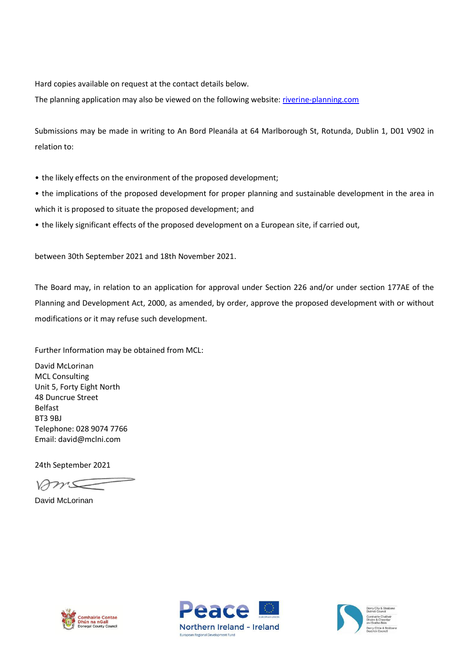Hard copies available on request at the contact details below.

The planning application may also be viewed on the following website: [riverine-planning.com](http://www.riverine-planning.com/)

Submissions may be made in writing to An Bord Pleanála at 64 Marlborough St, Rotunda, Dublin 1, D01 V902 in relation to:

- the likely effects on the environment of the proposed development;
- the implications of the proposed development for proper planning and sustainable development in the area in which it is proposed to situate the proposed development; and
- the likely significant effects of the proposed development on a European site, if carried out,

between 30th September 2021 and 18th November 2021.

The Board may, in relation to an application for approval under Section 226 and/or under section 177AE of the Planning and Development Act, 2000, as amended, by order, approve the proposed development with or without modifications or it may refuse such development.

Further Information may be obtained from MCL:

David McLorinan MCL Consulting Unit 5, Forty Eight North 48 Duncrue Street Belfast BT3 9BJ Telephone: 028 9074 7766 Email: david@mclni.com

24th September 2021

Ams

David McLorinan